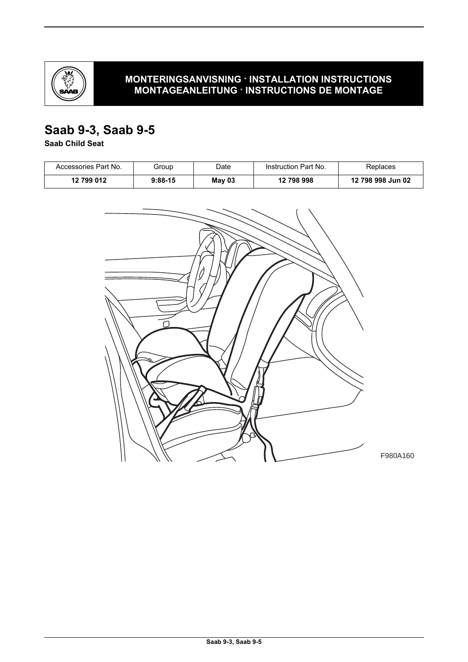

## **MONTERINGSANVISNING · INSTALLATION INSTRUCTIONS MONTAGEANLEITUNG · INSTRUCTIONS DE MONTAGE**

# **Saab 9-3, Saab 9-5**

**Saab Child Seat**

| Accessories Part No. | Group     | Date   | Instruction Part No. | Replaces          |
|----------------------|-----------|--------|----------------------|-------------------|
| 12 799 012           | $9:88-15$ | May 03 | 12 798 998           | 12 798 998 Jun 02 |

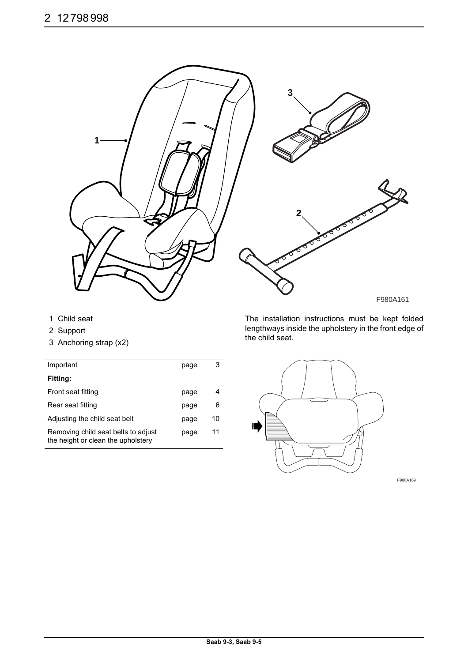

F980A161

- 1 Child seat
- 2 Support
- 3 Anchoring strap (x2)

| Important                                                                 | page | 3  |
|---------------------------------------------------------------------------|------|----|
| <b>Fitting:</b>                                                           |      |    |
| Front seat fitting                                                        | page | 4  |
| Rear seat fitting                                                         | page | 6  |
| Adjusting the child seat belt                                             | page | 10 |
| Removing child seat belts to adjust<br>the height or clean the upholstery | page | 11 |

The installation instructions must be kept folded lengthways inside the upholstery in the front edge of the child seat.



F980A169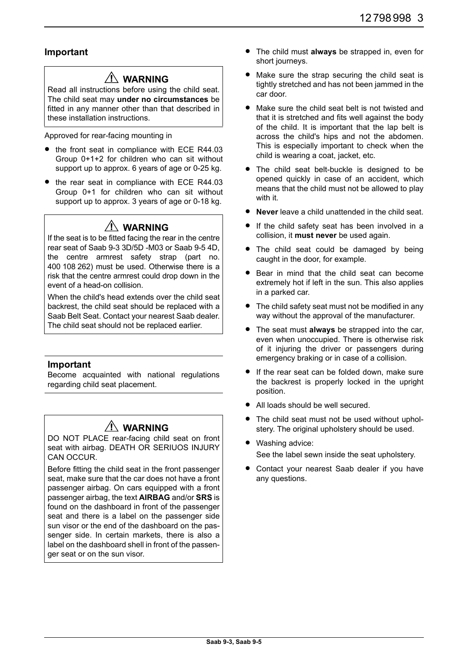## **Important**

## **WARNING**

Read all instructions before using the child seat. The child seat may **under no circumstances** be fitted in any manner other than that described in these installation instructions.

Approved for rear-facing mounting in

- the front seat in compliance with ECE R44.03 Group 0+1+2 for children who can sit without support up to approx. 6 years of age or 0-25 kg.
- the rear seat in compliance with ECE R44.03 Group 0+1 for children who can sit without support up to approx. 3 years of age or 0-18 kg.

## **WARNING**

If the seat is to be fitted facing the rear in the centre rear seat of Saab 9-3 3D/5D -M03 or Saab 9-5 4D, the centre armrest safety strap (part no. 400 108 262) must be used. Otherwise there is a risk that the centre armrest could drop down in the event of a head-on collision.

When the child's head extends over the child seat backrest, the child seat should be replaced with a Saab Belt Seat. Contact your nearest Saab dealer. The child seat should not be replaced earlier.

## **Important**

Become acquainted with national regulations regarding child seat placement.

# **WARNING**

DO NOT PLACE rear-facing child seat on front seat with airbag. DEATH OR SERIUOS INJURY CAN OCCUR.

Before fitting the child seat in the front passenger seat, make sure that the car does not have a front passenger airbag. On cars equipped with a front passenger airbag, the text **AIRBAG** and/or **SRS** is found on the dashboard in front of the passenger seat and there is a label on the passenger side sun visor or the end of the dashboard on the passenger side. In certain markets, there is also a label on the dashboard shell in front of the passenger seat or on the sun visor.

- The child must **always** be strapped in, even for short journeys.
- Make sure the strap securing the child seat is tightly stretched and has not been jammed in the car door.
- Make sure the child seat belt is not twisted and that it is stretched and fits well against the body of the child. It is important that the lap belt is across the child's hips and not the abdomen. This is especially important to check when the child is wearing a coat, jacket, etc.
- The child seat belt-buckle is designed to be opened quickly in case of an accident, which means that the child must not be allowed to play with it.
- **Never** leave a child unattended in the child seat.
- If the child safety seat has been involved in a collision, it **must never** be used again.
- The child seat could be damaged by being caught in the door, for example.
- Bear in mind that the child seat can become extremely hot if left in the sun. This also applies in a parked car.
- The child safety seat must not be modified in any way without the approval of the manufacturer.
- The seat must **always** be strapped into the car, even when unoccupied. There is otherwise risk of it injuring the driver or passengers during emergency braking or in case of a collision.
- If the rear seat can be folded down, make sure the backrest is properly locked in the upright position.
- All loads should be well secured.
- The child seat must not be used without upholstery. The original upholstery should be used.
- Washing advice: See the label sewn inside the seat upholstery.
- Contact your nearest Saab dealer if you have any questions.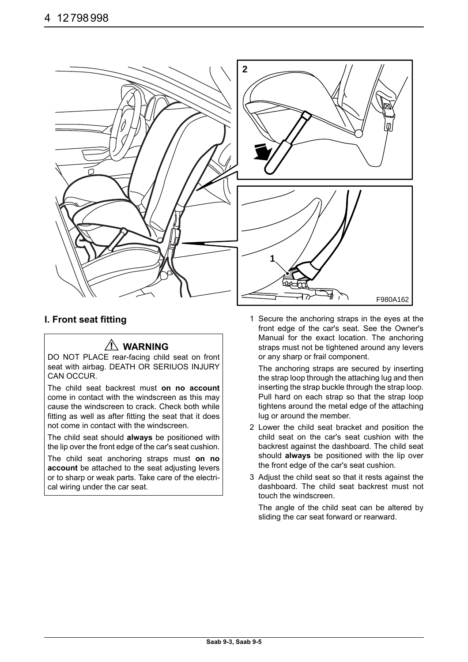

## **WARNING**

DO NOT PLACE rear-facing child seat on front seat with airbag. DEATH OR SERIUOS INJURY CAN OCCUR.

The child seat backrest must **on no account** come in contact with the windscreen as this may cause the windscreen to crack. Check both while fitting as well as after fitting the seat that it does not come in contact with the windscreen.

The child seat should **always** be positioned with the lip over the front edge of the car's seat cushion.

The child seat anchoring straps must **on no account** be attached to the seat adjusting levers or to sharp or weak parts. Take care of the electrical wiring under the car seat.

**I. Front seat fitting** 1 Secure the anchoring straps in the eyes at the front edge of the car's seat. See the Owner's Manual for the exact location. The anchoring straps must not be tightened around any levers or any sharp or frail component.

> The anchoring straps are secured by inserting the strap loop through the attaching lug and then inserting the strap buckle through the strap loop. Pull hard on each strap so that the strap loop tightens around the metal edge of the attaching lug or around the member.

- 2 Lower the child seat bracket and position the child seat on the car's seat cushion with the backrest against the dashboard. The child seat should **always** be positioned with the lip over the front edge of the car's seat cushion.
- 3 Adjust the child seat so that it rests against the dashboard. The child seat backrest must not touch the windscreen.

The angle of the child seat can be altered by sliding the car seat forward or rearward.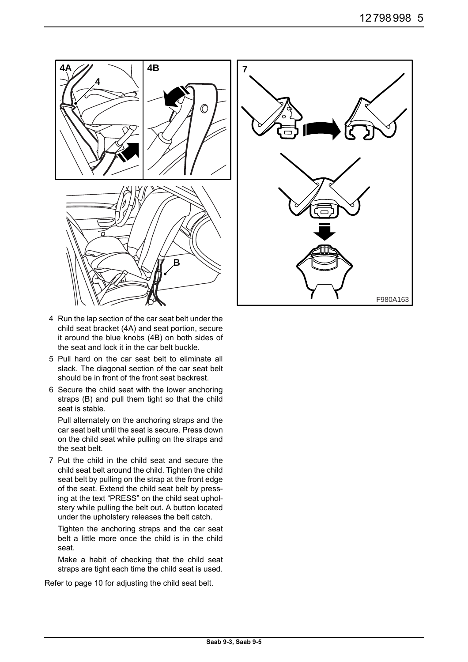



- 4 Run the lap section of the car seat belt under the child seat bracket (4A) and seat portion, secure it around the blue knobs (4B) on both sides of the seat and lock it in the car belt buckle.
- 5 Pull hard on the car seat belt to eliminate all slack. The diagonal section of the car seat belt should be in front of the front seat backrest.
- 6 Secure the child seat with the lower anchoring straps (B) and pull them tight so that the child seat is stable.

Pull alternately on the anchoring straps and the car seat belt until the seat is secure. Press down on the child seat while pulling on the straps and the seat belt.

7 Put the child in the child seat and secure the child seat belt around the child. Tighten the child seat belt by pulling on the strap at the front edge of the seat. Extend the child seat belt by pressing at the text "PRESS" on the child seat upholstery while pulling the belt out. A button located under the upholstery releases the belt catch.

Tighten the anchoring straps and the car seat belt a little more once the child is in the child seat.

Make a habit of checking that the child seat straps are tight each time the child seat is used.

Refer to page 10 for adjusting the child seat belt.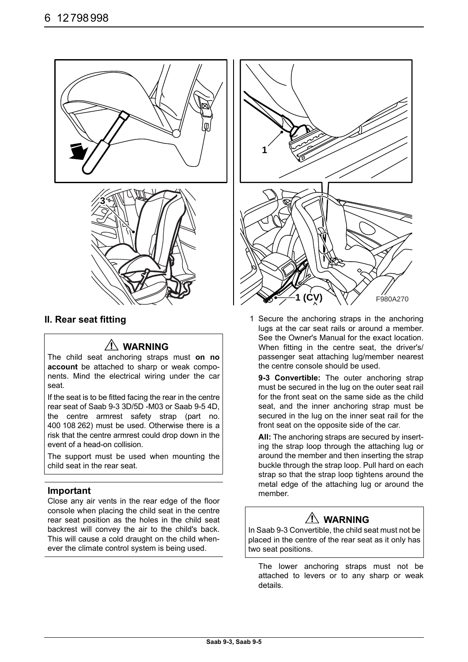

## **WARNING**

The child seat anchoring straps must **on no account** be attached to sharp or weak components. Mind the electrical wiring under the car seat.

If the seat is to be fitted facing the rear in the centre rear seat of Saab 9-3 3D/5D -M03 or Saab 9-5 4D, the centre armrest safety strap (part no. 400 108 262) must be used. Otherwise there is a risk that the centre armrest could drop down in the event of a head-on collision.

The support must be used when mounting the child seat in the rear seat.

### **Important**

Close any air vents in the rear edge of the floor console when placing the child seat in the centre rear seat position as the holes in the child seat backrest will convey the air to the child's back. This will cause a cold draught on the child whenever the climate control system is being used.



**II. Rear seat fitting** 1 Secure the anchoring straps in the anchoring lugs at the car seat rails or around a member. See the Owner's Manual for the exact location. When fitting in the centre seat, the driver's/ passenger seat attaching lug/member nearest the centre console should be used.

> **9-3 Convertible:** The outer anchoring strap must be secured in the lug on the outer seat rail for the front seat on the same side as the child seat, and the inner anchoring strap must be secured in the lug on the inner seat rail for the front seat on the opposite side of the car.

> **All:** The anchoring straps are secured by inserting the strap loop through the attaching lug or around the member and then inserting the strap buckle through the strap loop. Pull hard on each strap so that the strap loop tightens around the metal edge of the attaching lug or around the member.

# **WARNING**

In Saab 9-3 Convertible, the child seat must not be placed in the centre of the rear seat as it only has two seat positions.

The lower anchoring straps must not be attached to levers or to any sharp or weak details.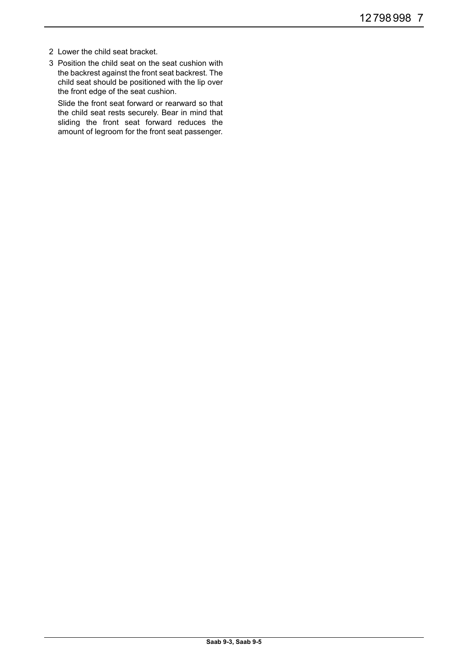- 2 Lower the child seat bracket.
- 3 Position the child seat on the seat cushion with the backrest against the front seat backrest. The child seat should be positioned with the lip over the front edge of the seat cushion.

Slide the front seat forward or rearward so that the child seat rests securely. Bear in mind that sliding the front seat forward reduces the amount of legroom for the front seat passenger.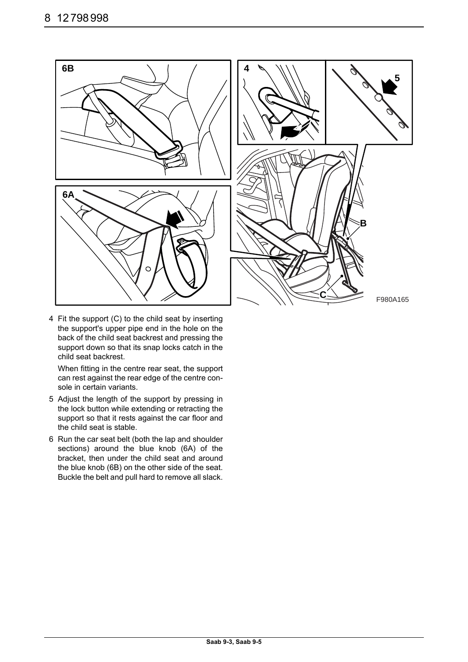

4 Fit the support (C) to the child seat by inserting the support's upper pipe end in the hole on the back of the child seat backrest and pressing the support down so that its snap locks catch in the child seat backrest.

When fitting in the centre rear seat, the support can rest against the rear edge of the centre console in certain variants.

- 5 Adjust the length of the support by pressing in the lock button while extending or retracting the support so that it rests against the car floor and the child seat is stable.
- 6 Run the car seat belt (both the lap and shoulder sections) around the blue knob (6A) of the bracket, then under the child seat and around the blue knob (6B) on the other side of the seat. Buckle the belt and pull hard to remove all slack.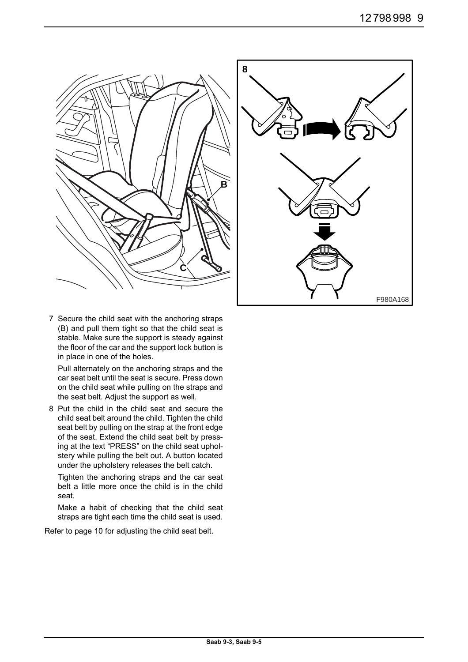

7 Secure the child seat with the anchoring straps (B) and pull them tight so that the child seat is stable. Make sure the support is steady against the floor of the car and the support lock button is in place in one of the holes.

Pull alternately on the anchoring straps and the car seat belt until the seat is secure. Press down on the child seat while pulling on the straps and the seat belt. Adjust the support as well.

8 Put the child in the child seat and secure the child seat belt around the child. Tighten the child seat belt by pulling on the strap at the front edge of the seat. Extend the child seat belt by pressing at the text "PRESS" on the child seat upholstery while pulling the belt out. A button located under the upholstery releases the belt catch.

Tighten the anchoring straps and the car seat belt a little more once the child is in the child seat.

Make a habit of checking that the child seat straps are tight each time the child seat is used.

Refer to page 10 for adjusting the child seat belt.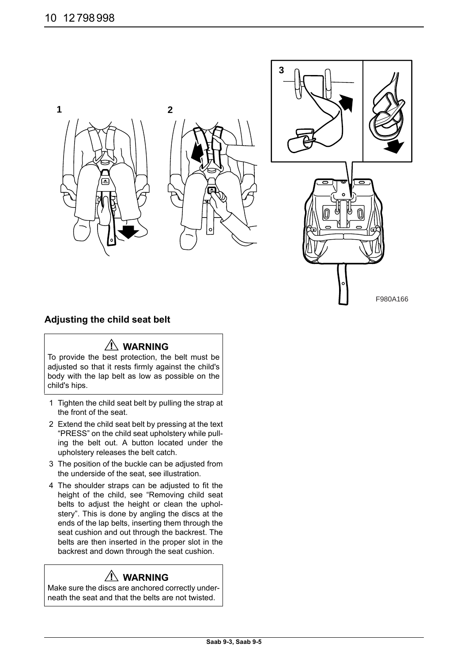

## **Adjusting the child seat belt**

## **WARNING**

To provide the best protection, the belt must be adjusted so that it rests firmly against the child's body with the lap belt as low as possible on the child's hips.

- 1 Tighten the child seat belt by pulling the strap at the front of the seat.
- 2 Extend the child seat belt by pressing at the text "PRESS" on the child seat upholstery while pulling the belt out. A button located under the upholstery releases the belt catch.
- 3 The position of the buckle can be adjusted from the underside of the seat, see illustration.
- 4 The shoulder straps can be adjusted to fit the height of the child, see "Removing child seat belts to adjust the height or clean the upholstery". This is done by angling the discs at the ends of the lap belts, inserting them through the seat cushion and out through the backrest. The belts are then inserted in the proper slot in the backrest and down through the seat cushion.

# **WARNING**

Make sure the discs are anchored correctly underneath the seat and that the belts are not twisted.